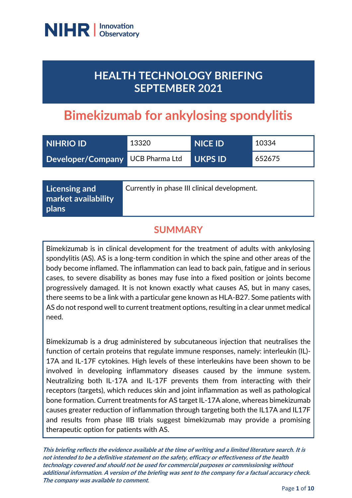

## **HEALTH TECHNOLOGY BRIEFING SEPTEMBER 2021**

# **Bimekizumab for ankylosing spondylitis**

| <b>INIHRIO ID'</b>               | 13320 | <b>NICE ID</b> | 10334  |
|----------------------------------|-------|----------------|--------|
| Developer/Company UCB Pharma Ltd |       | <b>UKPS ID</b> | 652675 |

**Licensing and market availability plans**

Currently in phase III clinical development.

### **SUMMARY**

Bimekizumab is in clinical development for the treatment of adults with ankylosing spondylitis (AS). AS is a long-term condition in which the spine and other areas of the body become inflamed. The inflammation can lead to back pain, fatigue and in serious cases, to severe disability as bones may fuse into a fixed position or joints become progressively damaged. It is not known exactly what causes AS, but in many cases, there seems to be a link with a particular gene known as HLA-B27. Some patients with AS do not respond well to current treatment options, resulting in a clear unmet medical need.

Bimekizumab is a drug administered by subcutaneous injection that neutralises the function of certain proteins that regulate immune responses, namely: interleukin (IL)- 17A and IL-17F cytokines. High levels of these interleukins have been shown to be involved in developing inflammatory diseases caused by the immune system. Neutralizing both IL-17A and IL-17F prevents them from interacting with their receptors (targets), which reduces skin and joint inflammation as well as pathological bone formation. Current treatments for AS target IL-17A alone, whereas bimekizumab causes greater reduction of inflammation through targeting both the IL17A and IL17F and results from phase IIB trials suggest bimekizumab may provide a promising therapeutic option for patients with AS.

**This briefing reflects the evidence available at the time of writing and a limited literature search. It is not intended to be a definitive statement on the safety, efficacy or effectiveness of the health technology covered and should not be used for commercial purposes or commissioning without additional information. A version of the briefing was sent to the company for a factual accuracy check. The company was available to comment.**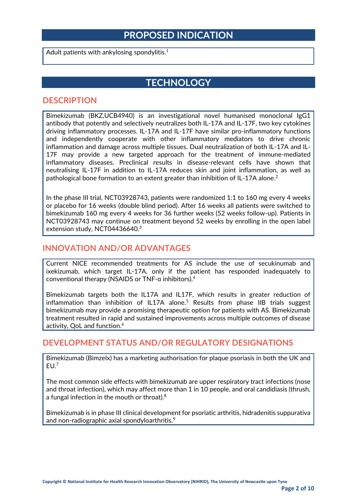### **PROPOSED INDICATION**

Adult patients with ankylosing spondylitis. $^{\rm 1}$ 

### **TECHNOLOGY**

#### **DESCRIPTION**

Bimekizumab (BKZ,UCB4940) is an investigational novel humanised monoclonal IgG1 antibody that potently and selectively neutralizes both IL-17A and IL-17F, two key cytokines driving inflammatory processes. IL-17A and IL-17F have similar pro-inflammatory functions and independently cooperate with other inflammatory mediators to drive chronic inflammation and damage across multiple tissues. Dual neutralization of both IL-17A and IL-17F may provide a new targeted approach for the treatment of immune-mediated inflammatory diseases. Preclinical results in disease-relevant cells have shown that neutralising IL-17F in addition to IL-17A reduces skin and joint inflammation, as well as pathological bone formation to an extent greater than inhibition of IL-17A alone.<sup>2</sup>

In the phase III trial, NCT03928743, patients were randomized 1:1 to 160 mg every 4 weeks or placebo for 16 weeks (double blind period). After 16 weeks all patients were switched to bimekizumab 160 mg every 4 weeks for 36 further weeks (52 weeks follow-up). Patients in NCT03928743 may continue on treatment beyond 52 weeks by enrolling in the open label extension study, NCT04436640.<sup>3</sup>

#### **INNOVATION AND/OR ADVANTAGES**

Current NICE recommended treatments for AS include the use of secukinumab and ixekizumab, which target IL-17A, only if the patient has responded inadequately to conventional therapy (NSAIDS or TNF-ɑ inhibitors).<sup>4</sup>

Bimekizumab targets both the IL17A and IL17F, which results in greater reduction of inflammation than inhibition of IL17A alone.<sup>5</sup> Results from phase IIB trials suggest bimekizumab may provide a promising therapeutic option for patients with AS. Bimekizumab treatment resulted in rapid and sustained improvements across multiple outcomes of disease activity, QoL and function.<sup>6</sup>

#### **DEVELOPMENT STATUS AND/OR REGULATORY DESIGNATIONS**

Bimekizumab (Bimzelx) has a marketing authorisation for plaque psoriasis in both the UK and  $EU.<sup>7</sup>$ 

The most common side effects with bimekizumab are upper respiratory tract infections (nose and throat infection), which may affect more than 1 in 10 people, and oral candidiasis (thrush, a fungal infection in the mouth or throat).<sup>8</sup>

Bimekizumab is in phase III clinical development for psoriatic arthritis, hidradenitis suppurativa and non-radiographic axial spondyloarthritis. $\rm ^9$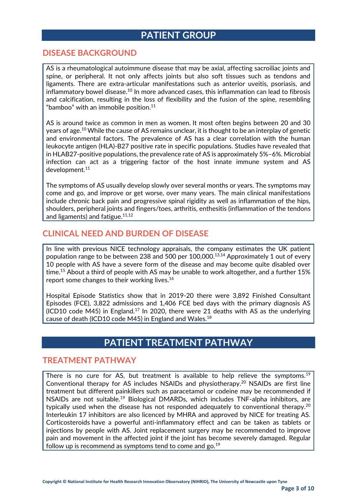### **PATIENT GROUP**

#### **DISEASE BACKGROUND**

AS is a rheumatological autoimmune disease that may be axial, affecting sacroiliac joints and spine, or peripheral. It not only affects joints but also soft tissues such as tendons and ligaments. There are extra-articular manifestations such as anterior uveitis, psoriasis, and inflammatory bowel disease. $^{10}$  In more advanced cases, this inflammation can lead to fibrosis and calcification, resulting in the loss of flexibility and the fusion of the spine, resembling "bamboo" with an immobile position. 11

AS is around twice as common in men as women. It most often begins between 20 and 30 years of age.<sup>10</sup> While the cause of AS remains unclear, it is thought to be an interplay of genetic and environmental factors. The prevalence of AS has a clear correlation with the human leukocyte antigen (HLA)-B27 positive rate in specific populations. Studies have revealed that in HLAB27-positive populations, the prevalence rate of AS is approximately 5%–6%. Microbial infection can act as a triggering factor of the host innate immune system and AS development.<sup>11</sup>

The symptoms of AS usually develop slowly over several months or years. The symptoms may come and go, and improve or get worse, over many years. The main clinical manifestations include chronic back pain and progressive spinal rigidity as well as inflammation of the hips, shoulders, peripheral joints and fingers/toes, arthritis, enthesitis (inflammation of the tendons and ligaments) and fatigue. $^{\rm 11,12}$ 

#### **CLINICAL NEED AND BURDEN OF DISEASE**

In line with previous NICE technology appraisals, the company estimates the UK patient population range to be between 238 and 500 per 100,000. 13,14 Approximately 1 out of every 10 people with AS have a severe form of the disease and may become quite disabled over time.<sup>15</sup> About a third of people with AS may be unable to work altogether, and a further 15% report some changes to their working lives.<sup>16</sup>

Hospital Episode Statistics show that in 2019-20 there were 3,892 Finished Consultant Episodes (FCE), 3,822 admissions and 1,406 FCE bed days with the primary diagnosis AS (ICD10 code M45) in England.<sup>17</sup> In 2020, there were 21 deaths with AS as the underlying cause of death (ICD10 code M45) in England and Wales.<sup>18</sup>

### **PATIENT TREATMENT PATHWAY**

#### **TREATMENT PATHWAY**

There is no cure for AS, but treatment is available to help relieve the symptoms.<sup>19</sup> Conventional therapy for AS includes NSAIDs and physiotherapy.<sup>20</sup> NSAIDs are first line treatment but different painkillers such as paracetamol or codeine may be recommended if NSAIDs are not suitable.<sup>19</sup> Biological DMARDs, which includes TNF-alpha inhibitors, are typically used when the disease has not responded adequately to conventional therapy.<sup>20</sup> Interleukin 17 inhibitors are also licenced by MHRA and approved by NICE for treating AS. Corticosteroids have a powerful anti-inflammatory effect and can be taken as tablets or injections by people with AS. Joint replacement surgery may be recommended to improve pain and movement in the affected joint if the joint has become severely damaged. Regular follow up is recommend as symptoms tend to come and go. $^{19}$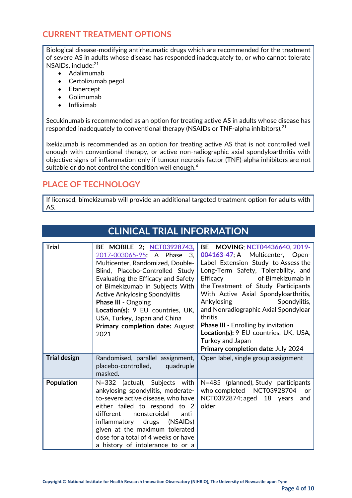#### **CURRENT TREATMENT OPTIONS**

Biological disease-modifying antirheumatic drugs which are recommended for the treatment of severe AS in adults whose disease has responded inadequately to, or who cannot tolerate NSAIDs, include:<sup>21</sup>

- Adalimumab
- Certolizumab pegol
- Etanercept
- Golimumab
- Infliximab

Secukinumab is recommended as an option for treating active AS in adults whose disease has responded inadequately to conventional therapy (NSAIDs or TNF-alpha inhibitors).<sup>21</sup>

Ixekizumab is recommended as an option for treating active AS that is not controlled well enough with conventional therapy, or active non-radiographic axial spondyloarthritis with objective signs of inflammation only if tumour necrosis factor (TNF)-alpha inhibitors are not suitable or do not control the condition well enough.<sup>4</sup>

### **PLACE OF TECHNOLOGY**

If licensed, bimekizumab will provide an additional targeted treatment option for adults with AS.

**CLINICAL TRIAL INFORMATION**

|                     | CLINICAL TRIAL INFORMATION                                                                                                                                                                                                                                                                                                                                                                      |                                                                                                                                                                                                                                                                                                                                                                                                                                                                                                     |
|---------------------|-------------------------------------------------------------------------------------------------------------------------------------------------------------------------------------------------------------------------------------------------------------------------------------------------------------------------------------------------------------------------------------------------|-----------------------------------------------------------------------------------------------------------------------------------------------------------------------------------------------------------------------------------------------------------------------------------------------------------------------------------------------------------------------------------------------------------------------------------------------------------------------------------------------------|
| <b>Trial</b>        | BE MOBILE 2; NCT03928743,<br>2017-003065-95; A Phase<br>3.<br>Multicenter, Randomized, Double-<br>Blind, Placebo-Controlled Study<br>Evaluating the Efficacy and Safety<br>of Bimekizumab in Subjects With<br><b>Active Ankylosing Spondylitis</b><br><b>Phase III - Ongoing</b><br>Location(s): 9 EU countries, UK,<br>USA, Turkey, Japan and China<br>Primary completion date: August<br>2021 | MOVING; NCT04436640, 2019-<br>BE<br>004163-47; A Multicenter, Open-<br>Label Extension Study to Assess the<br>Long-Term Safety, Tolerability, and<br>of Bimekizumab in<br>Efficacy<br>the Treatment of Study Participants<br>With Active Axial Spondyloarthritis,<br>Ankylosing<br>Spondylitis,<br>and Nonradiographic Axial Spondyloar<br>thritis<br><b>Phase III - Enrolling by invitation</b><br>Location(s): 9 EU countries, UK, USA,<br>Turkey and Japan<br>Primary completion date: July 2024 |
| <b>Trial design</b> | Randomised, parallel assignment,<br>placebo-controlled,<br>quadruple<br>masked.                                                                                                                                                                                                                                                                                                                 | Open label, single group assignment                                                                                                                                                                                                                                                                                                                                                                                                                                                                 |
| Population          | N=332 (actual), Subjects with<br>ankylosing spondylitis, moderate-<br>to-severe active disease, who have<br>either failed to respond to 2<br>nonsteroidal<br>different<br>anti-<br>drugs (NSAIDs)<br>inflammatory<br>given at the maximum tolerated<br>dose for a total of 4 weeks or have<br>a history of intolerance to or a                                                                  | N=485 (planned), Study participants<br>who completed NCT03928704<br><b>or</b><br>NCT0392874; aged 18 years<br>and<br>older                                                                                                                                                                                                                                                                                                                                                                          |

#### **Page 4 of 10**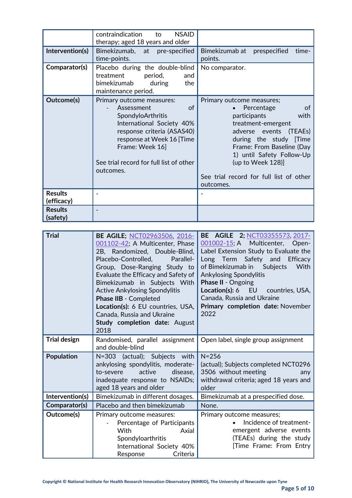|                              | <b>NSAID</b><br>contraindication<br>to<br>therapy; aged 18 years and older                                                                                                                                                            |                                                                                                                                                                                                                                                                                           |
|------------------------------|---------------------------------------------------------------------------------------------------------------------------------------------------------------------------------------------------------------------------------------|-------------------------------------------------------------------------------------------------------------------------------------------------------------------------------------------------------------------------------------------------------------------------------------------|
| Intervention(s)              | Bimekizumab, at pre-specified<br>time-points.                                                                                                                                                                                         | Bimekizumab at<br>prespecified<br>time-<br>points.                                                                                                                                                                                                                                        |
| Comparator(s)                | Placebo during the double-blind<br>treatment<br>period,<br>and<br>bimekizumab<br>the<br>during<br>maintenance period.                                                                                                                 | No comparator.                                                                                                                                                                                                                                                                            |
| Outcome(s)                   | Primary outcome measures:<br>Assessment<br>of<br>SpondyloArthritis<br>International Society 40%<br>response criteria (ASAS40)<br>response at Week 16 [Time<br>Frame: Week 16]<br>See trial record for full list of other<br>outcomes. | Primary outcome measures;<br>of<br>Percentage<br>participants<br>with<br>treatment-emergent<br>adverse events<br>(TEAEs)<br>during the study [Time<br>Frame: From Baseline (Day<br>1) until Safety Follow-Up<br>(up to Week 128)]<br>See trial record for full list of other<br>outcomes. |
| <b>Results</b><br>(efficacy) |                                                                                                                                                                                                                                       |                                                                                                                                                                                                                                                                                           |
| <b>Results</b><br>(safety)   |                                                                                                                                                                                                                                       |                                                                                                                                                                                                                                                                                           |

| <b>Trial</b>        | <b>BE AGILE; NCT02963506, 2016-</b><br>001102-42; A Multicenter, Phase<br>2B, Randomized, Double-Blind,<br>Placebo-Controlled, Parallel-<br>Group, Dose-Ranging Study to<br>Evaluate the Efficacy and Safety of<br>Bimekizumab in Subjects With<br><b>Active Ankylosing Spondylitis</b><br>Phase IIB - Completed<br>Location(s): 6 EU countries, USA,<br>Canada, Russia and Ukraine<br><b>Study completion date: August</b><br>2018 | <b>BE AGILE 2; NCT03355573, 2017-</b><br>001002-15; A Multicenter, Open-<br>Label Extension Study to Evaluate the<br>Long Term Safety and Efficacy<br>With<br>of Bimekizumab in<br><b>Subjects</b><br><b>Ankylosing Spondylitis</b><br><b>Phase II - Ongoing</b><br>Location(s): 6 EU countries, USA,<br>Canada, Russia and Ukraine<br>Primary completion date: November<br>2022 |
|---------------------|-------------------------------------------------------------------------------------------------------------------------------------------------------------------------------------------------------------------------------------------------------------------------------------------------------------------------------------------------------------------------------------------------------------------------------------|----------------------------------------------------------------------------------------------------------------------------------------------------------------------------------------------------------------------------------------------------------------------------------------------------------------------------------------------------------------------------------|
| <b>Trial design</b> | Randomised, parallel assignment<br>and double-blind                                                                                                                                                                                                                                                                                                                                                                                 | Open label, single group assignment                                                                                                                                                                                                                                                                                                                                              |
| <b>Population</b>   | N=303 (actual); Subjects with<br>ankylosing spondylitis, moderate-<br>active<br>to-severe<br>disease,<br>inadequate response to NSAIDs;<br>aged 18 years and older                                                                                                                                                                                                                                                                  | $N = 256$<br>(actual); Subjects completed NCT0296<br>3506 without meeting<br>any<br>withdrawal criteria; aged 18 years and<br>older                                                                                                                                                                                                                                              |
| Intervention(s)     | Bimekizumab in different dosages.                                                                                                                                                                                                                                                                                                                                                                                                   | Bimekizumab at a prespecified dose.                                                                                                                                                                                                                                                                                                                                              |
| Comparator(s)       | Placebo and then bimekizumab                                                                                                                                                                                                                                                                                                                                                                                                        | None.                                                                                                                                                                                                                                                                                                                                                                            |
| Outcome(s)          | Primary outcome measures:<br>Percentage of Participants<br>With<br>Axial<br>Spondyloarthritis<br>International Society 40%<br>Criteria<br>Response                                                                                                                                                                                                                                                                                  | Primary outcome measures;<br>Incidence of treatment-<br>$\bullet$<br>emergent adverse events<br>(TEAEs) during the study<br>Time Frame: From Entry                                                                                                                                                                                                                               |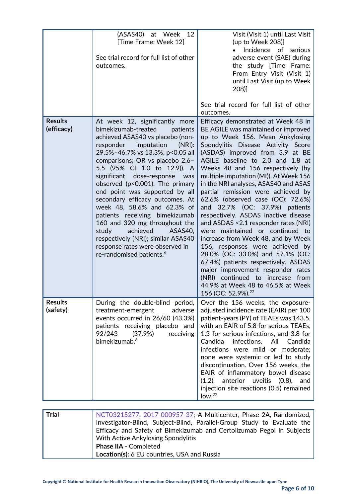|                              | (ASAS40) at Week 12<br>[Time Frame: Week 12]<br>See trial record for full list of other<br>outcomes.                                                                                                                                                                                                                                                                                                                                                                                                                                                                                                                                          | Visit (Visit 1) until Last Visit<br>(up to Week 208)]<br>Incidence of serious<br>adverse event (SAE) during<br>the study [Time Frame:<br>From Entry Visit (Visit 1)<br>until Last Visit (up to Week<br>208)]<br>See trial record for full list of other<br>outcomes.                                                                                                                                                                                                                                                                                                                                                                                                                                                                                                                                                                                                                   |
|------------------------------|-----------------------------------------------------------------------------------------------------------------------------------------------------------------------------------------------------------------------------------------------------------------------------------------------------------------------------------------------------------------------------------------------------------------------------------------------------------------------------------------------------------------------------------------------------------------------------------------------------------------------------------------------|----------------------------------------------------------------------------------------------------------------------------------------------------------------------------------------------------------------------------------------------------------------------------------------------------------------------------------------------------------------------------------------------------------------------------------------------------------------------------------------------------------------------------------------------------------------------------------------------------------------------------------------------------------------------------------------------------------------------------------------------------------------------------------------------------------------------------------------------------------------------------------------|
| <b>Results</b><br>(efficacy) | At week 12, significantly more<br>bimekizumab-treated<br>patients<br>achieved ASAS40 vs placebo (non-<br>responder imputation<br>(NRI):<br>29.5%-46.7% vs 13.3%; p<0.05 all<br>comparisons; OR vs placebo 2.6-<br>5.5 (95% Cl 1.0 to 12.9)). A<br>significant dose-response<br>was<br>observed (p<0.001). The primary<br>end point was supported by all<br>secondary efficacy outcomes. At<br>week 48, 58.6% and 62.3% of<br>patients receiving bimekizumab<br>160 and 320 mg throughout the<br>achieved<br>study<br>ASAS40,<br>respectively (NRI); similar ASAS40<br>response rates were observed in<br>re-randomised patients. <sup>6</sup> | Efficacy demonstrated at Week 48 in<br>BE AGILE was maintained or improved<br>up to Week 156. Mean Ankylosing<br>Spondylitis Disease Activity Score<br>(ASDAS) improved from 3.9 at BE<br>AGILE baseline to 2.0 and 1.8 at<br>Weeks 48 and 156 respectively (by<br>multiple imputation (MI)). At Week 156<br>in the NRI analyses, ASAS40 and ASAS<br>partial remission were achieved by<br>62.6% (observed case (OC): 72.6%)<br>and 32.7% (OC: 37.9%) patients<br>respectively. ASDAS inactive disease<br>and ASDAS < 2.1 responder rates (NRI)<br>were maintained or continued to<br>increase from Week 48, and by Week<br>156, responses were achieved by<br>28.0% (OC: 33.0%) and 57.1% (OC:<br>67.4%) patients respectively. ASDAS<br>major improvement responder rates<br>(NRI) continued to increase from<br>44.9% at Week 48 to 46.5% at Week<br>156 (OC: 52.9%). <sup>22</sup> |
| <b>Results</b><br>(safety)   | During the double-blind period,<br>treatment-emergent<br>adverse<br>events occurred in 26/60 (43.3%)<br>patients receiving placebo and<br>92/243<br>(37.9%)<br>receiving<br>bimekizumab. <sup>6</sup>                                                                                                                                                                                                                                                                                                                                                                                                                                         | Over the 156 weeks, the exposure-<br>adjusted incidence rate (EAIR) per 100<br>patient-years (PY) of TEAEs was 143.5,<br>with an EAIR of 5.8 for serious TEAEs,<br>1.3 for serious infections, and 3.8 for<br>Candida<br>infections.<br>All<br>Candida<br>infections were mild or moderate;<br>none were systemic or led to study<br>discontinuation. Over 156 weeks, the<br>EAIR of inflammatory bowel disease<br>$(1.2)$ ,<br>anterior<br>uveitis $(0.8)$ ,<br>and<br>injection site reactions (0.5) remained<br>low. <sup>22</sup>                                                                                                                                                                                                                                                                                                                                                  |

| Trial | NCT03215277, 2017-000957-37; A Multicenter, Phase 2A, Randomized,  <br>Investigator-Blind, Subject-Blind, Parallel-Group Study to Evaluate the<br>Efficacy and Safety of Bimekizumab and Certolizumab Pegol in Subjects<br>With Active Ankylosing Spondylitis |
|-------|---------------------------------------------------------------------------------------------------------------------------------------------------------------------------------------------------------------------------------------------------------------|
|       | <b>Phase IIA - Completed</b><br>Location(s): 6 EU countries, USA and Russia                                                                                                                                                                                   |
|       |                                                                                                                                                                                                                                                               |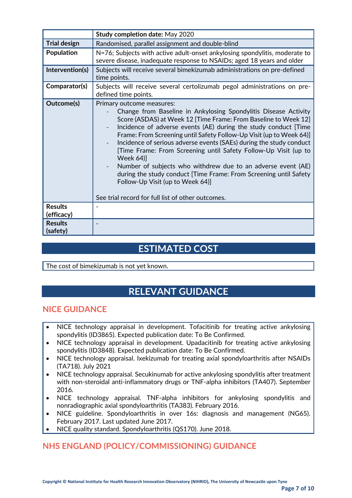|                              | <b>Study completion date: May 2020</b>                                                                                                                                                                                                                                                                                                                                                                                                                                                                                                                                                                                                                                                                |
|------------------------------|-------------------------------------------------------------------------------------------------------------------------------------------------------------------------------------------------------------------------------------------------------------------------------------------------------------------------------------------------------------------------------------------------------------------------------------------------------------------------------------------------------------------------------------------------------------------------------------------------------------------------------------------------------------------------------------------------------|
| <b>Trial design</b>          | Randomised, parallel assignment and double-blind                                                                                                                                                                                                                                                                                                                                                                                                                                                                                                                                                                                                                                                      |
| <b>Population</b>            | N=76; Subjects with active adult-onset ankylosing spondylitis, moderate to<br>severe disease, inadequate response to NSAIDs; aged 18 years and older                                                                                                                                                                                                                                                                                                                                                                                                                                                                                                                                                  |
| Intervention(s)              | Subjects will receive several bimekizumab administrations on pre-defined<br>time points.                                                                                                                                                                                                                                                                                                                                                                                                                                                                                                                                                                                                              |
| Comparator(s)                | Subjects will receive several certolizumab pegol administrations on pre-<br>defined time points.                                                                                                                                                                                                                                                                                                                                                                                                                                                                                                                                                                                                      |
| Outcome(s)                   | Primary outcome measures:<br>Change from Baseline in Ankylosing Spondylitis Disease Activity<br>Score (ASDAS) at Week 12 [Time Frame: From Baseline to Week 12]<br>Incidence of adverse events (AE) during the study conduct [Time<br>Frame: From Screening until Safety Follow-Up Visit (up to Week 64)]<br>Incidence of serious adverse events (SAEs) during the study conduct<br>[Time Frame: From Screening until Safety Follow-Up Visit (up to<br><b>Week 64)]</b><br>Number of subjects who withdrew due to an adverse event (AE)<br>during the study conduct [Time Frame: From Screening until Safety<br>Follow-Up Visit (up to Week 64)]<br>See trial record for full list of other outcomes. |
| <b>Results</b><br>(efficacy) |                                                                                                                                                                                                                                                                                                                                                                                                                                                                                                                                                                                                                                                                                                       |
| <b>Results</b><br>(safety)   |                                                                                                                                                                                                                                                                                                                                                                                                                                                                                                                                                                                                                                                                                                       |

### **ESTIMATED COST**

The cost of bimekizumab is not yet known.

### **RELEVANT GUIDANCE**

#### **NICE GUIDANCE**

- NICE technology appraisal in development. Tofacitinib for treating active ankylosing spondylitis (ID3865). Expected publication date: To Be Confirmed.
- NICE technology appraisal in development. Upadacitinib for treating active ankylosing spondylitis (ID3848). Expected publication date: To Be Confirmed.
- NICE technology appraisal. Ixekizumab for treating axial spondyloarthritis after NSAIDs (TA718). July 2021
- NICE technology appraisal. Secukinumab for active ankylosing spondylitis after treatment with non-steroidal anti-inflammatory drugs or TNF-alpha inhibitors (TA407). September 2016.
- NICE technology appraisal. TNF-alpha inhibitors for ankylosing spondylitis and nonradiographic axial spondyloarthritis (TA383). February 2016.
- NICE guideline. Spondyloarthritis in over 16s: diagnosis and management (NG65). February 2017. Last updated June 2017.
- NICE quality standard. Spondyloarthritis (QS170). June 2018.

### **NHS ENGLAND (POLICY/COMMISSIONING) GUIDANCE**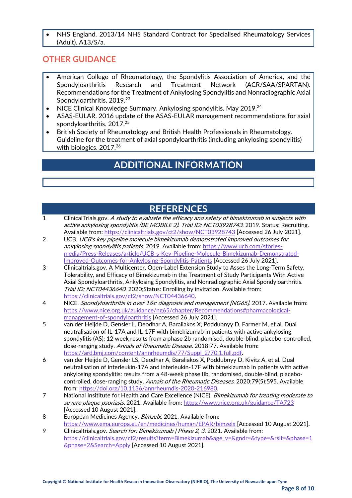• NHS England. 2013/14 NHS Standard Contract for Specialised Rheumatology Services (Adult). A13/S/a.

#### **OTHER GUIDANCE**

- American College of Rheumatology, the Spondylitis Association of America, and the Spondyloarthritis Research and Treatment Network (ACR/SAA/SPARTAN). Recommendations for the Treatment of Ankylosing Spondylitis and Nonradiographic Axial Spondyloarthritis. 2019.<sup>23</sup>
- NICE Clinical Knowledge Summary. Ankylosing spondylitis. May 2019. $^{24}$
- ASAS-EULAR. 2016 update of the ASAS-EULAR management recommendations for axial spondyloarthritis. 2017. 25
- British Society of Rheumatology and British Health Professionals in Rheumatology. Guideline for the treatment of axial spondyloarthritis (including ankylosing spondylitis) with biologics. 2017.<sup>26</sup>

### **ADDITIONAL INFORMATION**

### **REFERENCES**

- 1 ClinicalTrials.gov. A study to evaluate the efficacy and safety of bimekizumab in subjects with active ankylosing spondylitis (BE MOBILE 2). Trial ID: NCT03928743. 2019. Status: Recruiting. Available from[: https://clinicaltrials.gov/ct2/show/NCT03928743](https://clinicaltrials.gov/ct2/show/NCT03928743) [Accessed 26 July 2021].
- 2 UCB. UCB's key pipeline molecule bimekizumab demonstrated improved outcomes for ankylosing spondylitis patients. 2019. Available from: [https://www.ucb.com/stories](https://www.ucb.com/stories-media/Press-Releases/article/UCB-s-Key-Pipeline-Molecule-Bimekizumab-Demonstrated-Improved-Outcomes-for-Ankylosing-Spondylitis-Patients)[media/Press-Releases/article/UCB-s-Key-Pipeline-Molecule-Bimekizumab-Demonstrated-](https://www.ucb.com/stories-media/Press-Releases/article/UCB-s-Key-Pipeline-Molecule-Bimekizumab-Demonstrated-Improved-Outcomes-for-Ankylosing-Spondylitis-Patients)[Improved-Outcomes-for-Ankylosing-Spondylitis-Patients](https://www.ucb.com/stories-media/Press-Releases/article/UCB-s-Key-Pipeline-Molecule-Bimekizumab-Demonstrated-Improved-Outcomes-for-Ankylosing-Spondylitis-Patients) [Accessed 26 July 2021].
- 3 Clinicaltrials.gov. A Multicenter, Open-Label Extension Study to Asses the Long-Term Safety, Tolerability, and Efficacy of Bimekizumab in the Treatment of Study Participants With Active Axial Spondyloarthritis, Ankylosing Spondylitis, and Nonradiographic Axial Spondyloarthritis. Trial ID: NCT04436640. 2020; Status: Enrolling by invitation. Available from: [https://clinicaltrials.gov/ct2/show/NCT04436640.](https://clinicaltrials.gov/ct2/show/NCT04436640)
- 4 NICE. Spondyloarthritis in over 16s: diagnosis and management [NG65]. 2017. Available from: [https://www.nice.org.uk/guidance/ng65/chapter/Recommendations#pharmacological](https://www.nice.org.uk/guidance/ng65/chapter/Recommendations#pharmacological-management-of-spondyloarthritis)[management-of-spondyloarthritis](https://www.nice.org.uk/guidance/ng65/chapter/Recommendations#pharmacological-management-of-spondyloarthritis) [Accessed 26 July 2021].
- 5 van der Heijde D, Gensler L, Deodhar A, Baraliakos X, Poddubnyy D, Farmer M, et al. Dual neutralisation of IL-17A and IL-17F with bimekizumab in patients with active ankylosing spondylitis (AS): 12 week results from a phase 2b randomised, double-blind, placebo-controlled, dose-ranging study. Annals of Rheumatic Disease. 2018;77. Available from: [https://ard.bmj.com/content/annrheumdis/77/Suppl\\_2/70.1.full.pdf.](https://ard.bmj.com/content/annrheumdis/77/Suppl_2/70.1.full.pdf)
- 6 van der Heijde D, Gensler LS, Deodhar A, Baraliakos X, Poddubnyy D, Kivitz A, et al. Dual neutralisation of interleukin-17A and interleukin-17F with bimekizumab in patients with active ankylosing spondylitis: results from a 48-week phase IIb, randomised, double-blind, placebocontrolled, dose-ranging study. Annals of the Rheumatic Diseases. 2020;79(5):595. Available from: [https://doi.org/10.1136/annrheumdis-2020-216980.](https://doi.org/10.1136/annrheumdis-2020-216980)
- 7 National Insititute for Health and Care Excellence (NICE). Bimekizumab for treating moderate to severe plaque psoriasis. 2021. Available from[: https://www.nice.org.uk/guidance/TA723](https://www.nice.org.uk/guidance/TA723) [Accessed 10 August 2021].
- 8 European Medicines Agency. Bimzelx. 2021. Available from: <https://www.ema.europa.eu/en/medicines/human/EPAR/bimzelx> [Accessed 10 August 2021].
- 9 Clinicaltrials.gov. *Search for: Bimekizumab | Phase 2, 3.* 2021. Available from: [https://clinicaltrials.gov/ct2/results?term=Bimekizumab&age\\_v=&gndr=&type=&rslt=&phase=1](https://clinicaltrials.gov/ct2/results?term=Bimekizumab&age_v=&gndr=&type=&rslt=&phase=1&phase=2&Search=Apply) [&phase=2&Search=Apply](https://clinicaltrials.gov/ct2/results?term=Bimekizumab&age_v=&gndr=&type=&rslt=&phase=1&phase=2&Search=Apply) [Accessed 10 August 2021].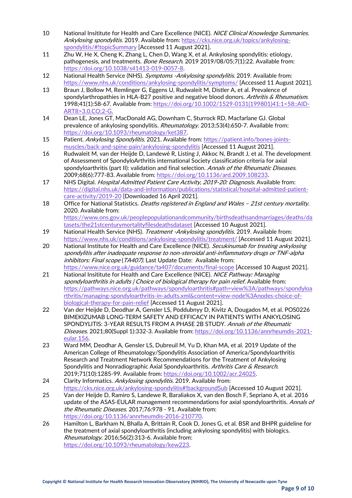- 10 National Insititute for Health and Care Excellence (NICE). NICE Clinical Knowledge Summaries. Ankylosing spondylitis. 2019. Available from: [https://cks.nice.org.uk/topics/ankylosing](https://cks.nice.org.uk/topics/ankylosing-spondylitis/#!topicSummary)[spondylitis/#!topicSummary](https://cks.nice.org.uk/topics/ankylosing-spondylitis/#!topicSummary) [Accessed 11 August 2021].
- 11 Zhu W, He X, Cheng K, Zhang L, Chen D, Wang X, et al. Ankylosing spondylitis: etiology, pathogenesis, and treatments. Bone Research. 2019 2019/08/05;7(1):22. Available from: [https://doi.org/10.1038/s41413-019-0057-8.](https://doi.org/10.1038/s41413-019-0057-8)
- 12 National Health Service (NHS). Symptoms -Ankylosing spondylitis. 2019. Available from: <https://www.nhs.uk/conditions/ankylosing-spondylitis/symptoms/> [Accessed 11 August 2021].
- 13 Braun J, Bollow M, Remlinger G, Eggens U, Rudwaleit M, Distler A, et al. Prevalence of spondylarthropathies in HLA-B27 positive and negative blood donors. Arthritis & Rheumatism. 1998;41(1):58-67. Available from: [https://doi.org/10.1002/1529-0131\(199801\)41:1<58::AID-](https://doi.org/10.1002/1529-0131(199801)41:1%3c58::AID-ART8%3e3.0.CO;2-G.)[ART8>3.0.CO;2-G.](https://doi.org/10.1002/1529-0131(199801)41:1%3c58::AID-ART8%3e3.0.CO;2-G.)
- 14 Dean LE, Jones GT, MacDonald AG, Downham C, Sturrock RD, Macfarlane GJ. Global prevalence of ankylosing spondylitis. Rheumatology. 2013;53(4):650-7. Available from: [https://doi.org/10.1093/rheumatology/ket387.](https://doi.org/10.1093/rheumatology/ket387)
- 15 Patient. Ankylosing Spondylitis. 2021. Available from[: https://patient.info/bones-joints](https://patient.info/bones-joints-muscles/back-and-spine-pain/ankylosing-spondylitis)[muscles/back-and-spine-pain/ankylosing-spondylitis](https://patient.info/bones-joints-muscles/back-and-spine-pain/ankylosing-spondylitis) [Accessed 11 August 2021].
- 16 Rudwaleit M, van der Heijde D, Landewé R, Listing J, Akkoc N, Brandt J, et al. The development of Assessment of SpondyloArthritis international Society classification criteria for axial spondyloarthritis (part II): validation and final selection. Annals of the Rheumatic Diseases. 2009;68(6):777-83. Available from: [https://doi.org/10.1136/ard.2009.108233.](https://doi.org/10.1136/ard.2009.108233)
- 17 NHS Digital. Hospital Admitted Patient Care Activity, 2019-20: Diagnosis. Available from: [https://digital.nhs.uk/data-and-information/publications/statistical/hospital-admitted-patient](https://digital.nhs.uk/data-and-information/publications/statistical/hospital-admitted-patient-care-activity/2019-20)[care-activity/2019-20](https://digital.nhs.uk/data-and-information/publications/statistical/hospital-admitted-patient-care-activity/2019-20) [Downloaded 16 April 2021].
- 18 Office for National Statistics. Deaths registered in England and Wales 21st century mortality. 2020. Available from: [https://www.ons.gov.uk/peoplepopulationandcommunity/birthsdeathsandmarriages/deaths/da](https://www.ons.gov.uk/peoplepopulationandcommunity/birthsdeathsandmarriages/deaths/datasets/the21stcenturymortalityfilesdeathsdataset) [tasets/the21stcenturymortalityfilesdeathsdataset](https://www.ons.gov.uk/peoplepopulationandcommunity/birthsdeathsandmarriages/deaths/datasets/the21stcenturymortalityfilesdeathsdataset) [Accessed 10 August 2021].
- 19 National Health Service (NHS). Treatment -Ankylosing spondylitis. 2019. Available from: <https://www.nhs.uk/conditions/ankylosing-spondylitis/treatment/> [Accessed 11 August 2021].
- 20 National Institute for Health and Care Excellence (NICE). Secukinumab for treating ankylosing spondylitis after inadequate response to non-steroidal anti-inflammatory drugs or TNF-alpha inhibitors: Final scope (TA407). Last Update Date: Available from: <https://www.nice.org.uk/guidance/ta407/documents/final-scope> [Accessed 10 August 2021].
- 21 National Insititute for Health and Care Excellence (NICE). NICE Pathway: Managing spondyloarthritis in adults / Choice of biological therapy for pain relief. Available from: [https://pathways.nice.org.uk/pathways/spondyloarthritis#path=view%3A/pathways/spondyloa](https://pathways.nice.org.uk/pathways/spondyloarthritis#path=view%3A/pathways/spondyloarthritis/managing-spondyloarthritis-in-adults.xml&content=view-node%3Anodes-choice-of-biological-therapy-for-pain-relief) [rthritis/managing-spondyloarthritis-in-adults.xml&content=view-node%3Anodes-choice-of](https://pathways.nice.org.uk/pathways/spondyloarthritis#path=view%3A/pathways/spondyloarthritis/managing-spondyloarthritis-in-adults.xml&content=view-node%3Anodes-choice-of-biological-therapy-for-pain-relief)[biological-therapy-for-pain-relief](https://pathways.nice.org.uk/pathways/spondyloarthritis#path=view%3A/pathways/spondyloarthritis/managing-spondyloarthritis-in-adults.xml&content=view-node%3Anodes-choice-of-biological-therapy-for-pain-relief) [Accessed 11 August 2021].
- 22 Van der Heijde D, Deodhar A, Gensler LS, Poddubnyy D, Kivitz A, Dougados M, et al. POS0226 BIMEKIZUMAB LONG-TERM SAFETY AND EFFICACY IN PATIENTS WITH ANKYLOSING SPONDYLITIS: 3-YEAR RESULTS FROM A PHASE 2B STUDY. Annals of the Rheumatic Diseases. 2021;80(Suppl 1):332-3. Available from: [https://doi.org/10.1136/annrheumdis-2021](https://doi.org/10.1136/annrheumdis-2021-eular.156) [eular.156.](https://doi.org/10.1136/annrheumdis-2021-eular.156)
- 23 Ward MM, Deodhar A, Gensler LS, Dubreuil M, Yu D, Khan MA, et al. 2019 Update of the American College of Rheumatology/Spondylitis Association of America/Spondyloarthritis Research and Treatment Network Recommendations for the Treatment of Ankylosing Spondylitis and Nonradiographic Axial Spondyloarthritis. Arthritis Care & Research. 2019;71(10):1285-99. Available from: [https://doi.org/10.1002/acr.24025.](https://doi.org/10.1002/acr.24025)
- 24 Clarity Informatics. Ankylosing spondylitis. 2019. Available from: <https://cks.nice.org.uk/ankylosing-spondylitis#!backgroundSub> [Accessed 10 August 2021].
- 25 Van der Heijde D, Ramiro S, Landewe R, Baraliakos X, van den Bosch F, Sepriano A, et al. 2016 update of the ASAS-EULAR management recommendations for axial spondyloarthritis. Annals of the Rheumatic Diseases. 2017;76:978 - 91. Available from: [https://doi.org/10.1136/annrheumdis-2016-210770.](https://doi.org/10.1136/annrheumdis-2016-210770)
- 26 Hamilton L, Barkham N, Bhalla A, Brittain R, Cook D, Jones G, et al. BSR and BHPR guideline for the treatment of axial spondyloarthritis (including ankylosing spondylitis) with biologics. Rheumatology. 2016;56(2):313-6. Available from: [https://doi.org/10.1093/rheumatology/kew223.](https://doi.org/10.1093/rheumatology/kew223)

**Page 9 of 10**